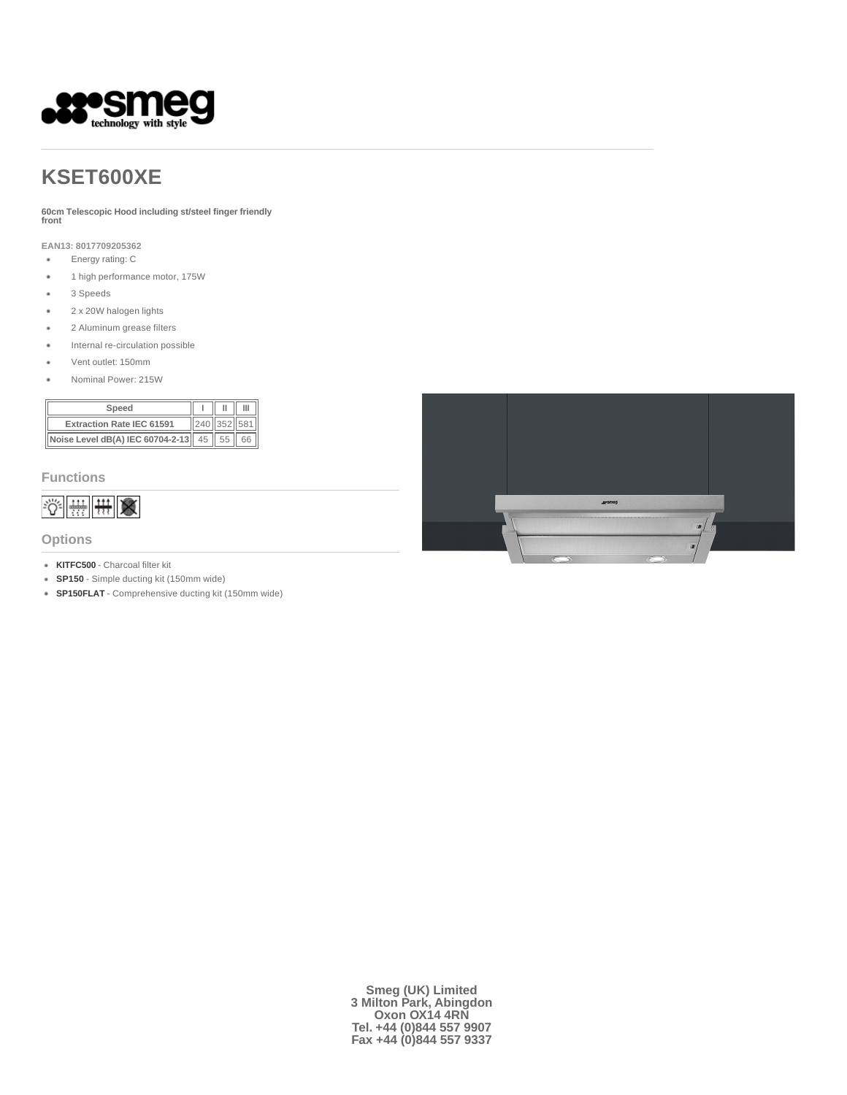

# **KSET600XE**

**60cm Telescopic Hood including st/steel finger friendly front** 

**EAN13: 8017709205362**

- $\bullet$ Energy rating: C
- $\bullet$ 1 high performance motor, 175W
- $\bullet$ 3 Speeds
- 2 x 20W halogen lights  $\ddot{\phantom{0}}$
- $\bullet$ 2 Aluminum grease filters
- Internal re-circulation possible  $\bullet$
- Vent outlet: 150mm  $\bullet$
- Nominal Power: 215W J.

| Speed                                          |                     |  |
|------------------------------------------------|---------------------|--|
| <b>Extraction Rate IEC 61591</b>               | $\ 240\ 352\ 581\ $ |  |
| $\ $ Noise Level dB(A) IEC 60704-2-13 45 55 66 |                     |  |

#### **Functions**



#### **Options**

- **KITFC500** Charcoal filter kit
- **SP150** Simple ducting kit (150mm wide)
- **SP150FLAT** Comprehensive ducting kit (150mm wide)



**Smeg (UK) Limited 3 Milton Park, Abingdon Oxon OX14 4RN Tel. +44 (0)844 557 9907 Fax +44 (0)844 557 9337**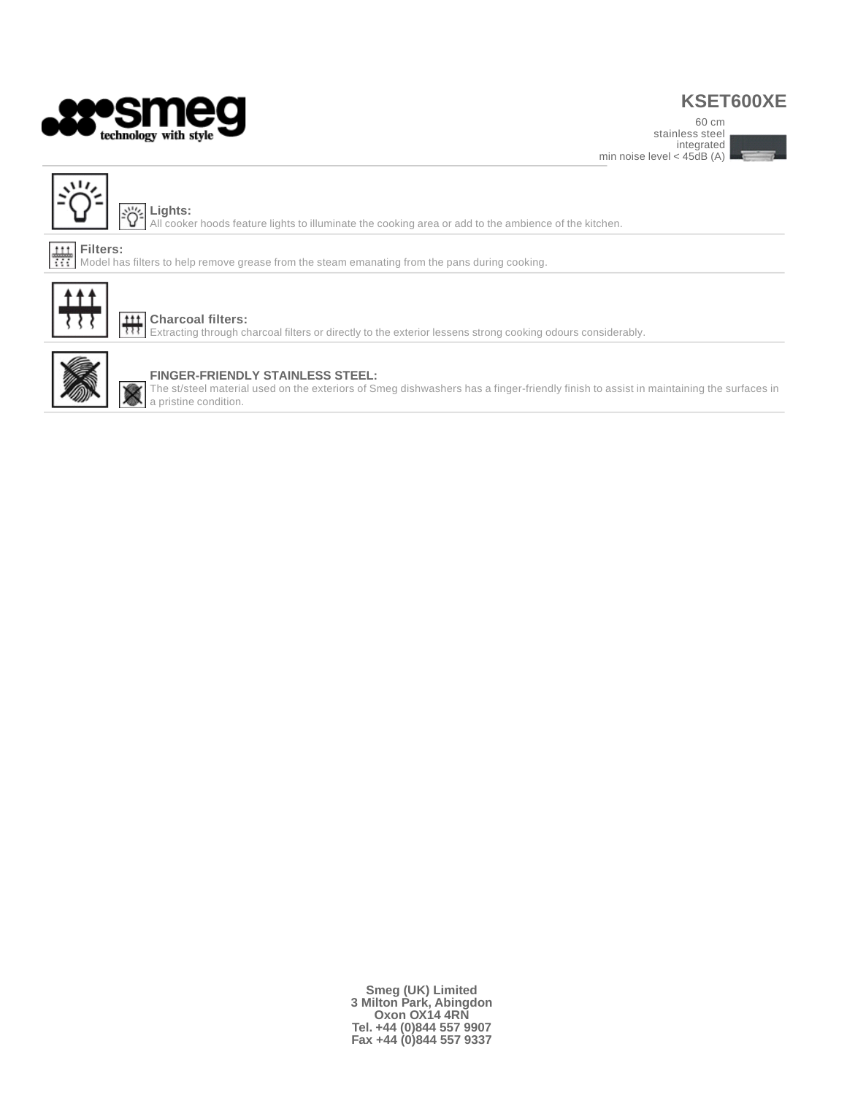

### **KSET600XE**

stainless steel min noise level  $<$  45 $\overline{dB}$  (A)





**Lights:** All cooker hoods feature lights to illuminate the cooking area or add to the ambience of the kitchen.

#### $\frac{111}{111}$ **Filters:**

Model has filters to help remove grease from the steam emanating from the pans during cooking.



#### **Charcoal filters:**

Extracting through charcoal filters or directly to the exterior lessens strong cooking odours considerably.



### **FINGER-FRIENDLY STAINLESS STEEL:**

The st/steel material used on the exteriors of Smeg dishwashers has a finger-friendly finish to assist in maintaining the surfaces in a pristine condition.

> **Smeg (UK) Limited 3 Milton Park, Abingdon Oxon OX14 4RN Tel. +44 (0)844 557 9907 Fax +44 (0)844 557 9337**